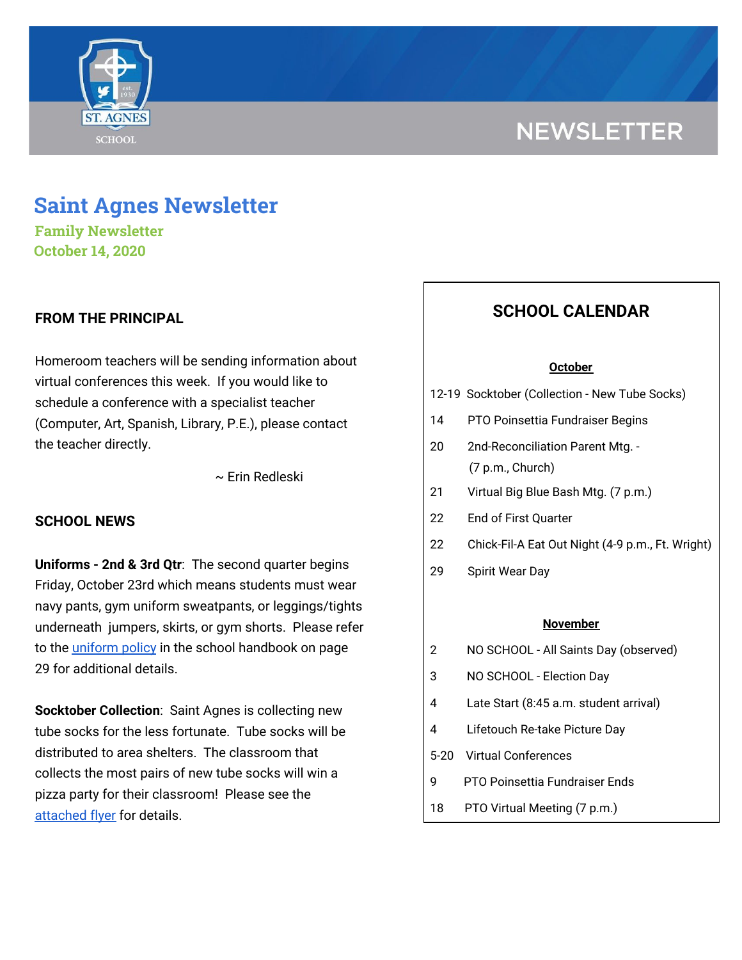

# **NEWSLETTER**

## **Saint Agnes Newsletter**

**Family Newsletter October 14, 2020**

## **FROM THE PRINCIPAL**

Homeroom teachers will be sending information about virtual conferences this week. If you would like to schedule a conference with a specialist teacher (Computer, Art, Spanish, Library, P.E.), please contact the teacher directly.

~ Erin Redleski

## **SCHOOL NEWS**

**Uniforms - 2nd & 3rd Qtr**: The second quarter begins Friday, October 23rd which means students must wear navy pants, gym uniform sweatpants, or leggings/tights underneath jumpers, skirts, or gym shorts. Please refer to the [uniform](https://school.saintagnes.com/wp-content/uploads/2020/09/Parent-Student-Handbook-2020-21.pdf) policy in the school handbook on page 29 for additional details.

**Socktober Collection**: Saint Agnes is collecting new tube socks for the less fortunate. Tube socks will be distributed to area shelters. The classroom that collects the most pairs of new tube socks will win a pizza party for their classroom! Please see the [attached](https://school.saintagnes.com/wp-content/uploads/2020/10/Socktober-Flyer-10-7-2020.pdf) flyer for details.

## **SCHOOL CALENDAR**

#### **October**

- 12-19 Socktober (Collection New Tube Socks)
- 14 PTO Poinsettia Fundraiser Begins
- 20 2nd-Reconciliation Parent Mtg. (7 p.m., Church)
- 21 Virtual Big Blue Bash Mtg. (7 p.m.)
- 22 End of First Quarter
- 22 Chick-Fil-A Eat Out Night (4-9 p.m., Ft. Wright)
- 29 Spirit Wear Day

#### **November**

- 2 NO SCHOOL All Saints Day (observed)
- 3 NO SCHOOL Election Day
- 4 Late Start (8:45 a.m. student arrival)
- 4 Lifetouch Re-take Picture Day
- 5-20 Virtual Conferences
- 9 PTO Poinsettia Fundraiser Ends
- 18 PTO Virtual Meeting (7 p.m.)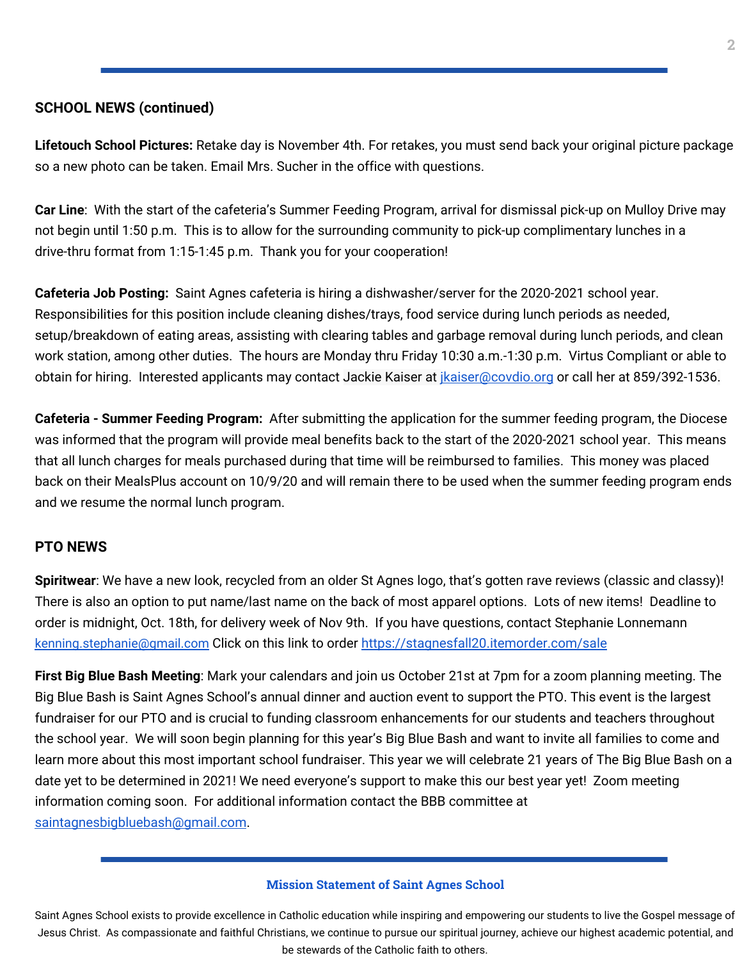## **SCHOOL NEWS (continued)**

**Lifetouch School Pictures:** Retake day is November 4th. For retakes, you must send back your original picture package so a new photo can be taken. Email Mrs. Sucher in the office with questions.

**Car Line**: With the start of the cafeteria's Summer Feeding Program, arrival for dismissal pick-up on Mulloy Drive may not begin until 1:50 p.m. This is to allow for the surrounding community to pick-up complimentary lunches in a drive-thru format from 1:15-1:45 p.m. Thank you for your cooperation!

**Cafeteria Job Posting:** Saint Agnes cafeteria is hiring a dishwasher/server for the 2020-2021 school year. Responsibilities for this position include cleaning dishes/trays, food service during lunch periods as needed, setup/breakdown of eating areas, assisting with clearing tables and garbage removal during lunch periods, and clean work station, among other duties. The hours are Monday thru Friday 10:30 a.m.-1:30 p.m. Virtus Compliant or able to obtain for hiring. Interested applicants may contact Jackie Kaiser at *ikaiser@covdio.org* or call her at 859/392-1536.

**Cafeteria - Summer Feeding Program:** After submitting the application for the summer feeding program, the Diocese was informed that the program will provide meal benefits back to the start of the 2020-2021 school year. This means that all lunch charges for meals purchased during that time will be reimbursed to families. This money was placed back on their MealsPlus account on 10/9/20 and will remain there to be used when the summer feeding program ends and we resume the normal lunch program.

## **PTO NEWS**

**Spiritwear**: We have a new look, recycled from an older St Agnes logo, that's gotten rave reviews (classic and classy)! There is also an option to put name/last name on the back of most apparel options. Lots of new items! Deadline to order is midnight, Oct. 18th, for delivery week of Nov 9th. If you have questions, contact Stephanie Lonnemann [kenning.stephanie@gmail.com](mailto:kenning.stephanie@gmail.com) Click on this link to order <https://stagnesfall20.itemorder.com/sale>

**First Big Blue Bash Meeting**: Mark your calendars and join us October 21st at 7pm for a zoom planning meeting. The Big Blue Bash is Saint Agnes School's annual dinner and auction event to support the PTO. This event is the largest fundraiser for our PTO and is crucial to funding classroom enhancements for our students and teachers throughout the school year. We will soon begin planning for this year's Big Blue Bash and want to invite all families to come and learn more about this most important school fundraiser. This year we will celebrate 21 years of The Big Blue Bash on a date yet to be determined in 2021! We need everyone's support to make this our best year yet! Zoom meeting information coming soon. For additional information contact the BBB committee at [saintagnesbigbluebash@gmail.com](mailto:saintagnesbigbluebash@gmail.com).

#### **Mission Statement of Saint Agnes School**

Saint Agnes School exists to provide excellence in Catholic education while inspiring and empowering our students to live the Gospel message of Jesus Christ. As compassionate and faithful Christians, we continue to pursue our spiritual journey, achieve our highest academic potential, and be stewards of the Catholic faith to others.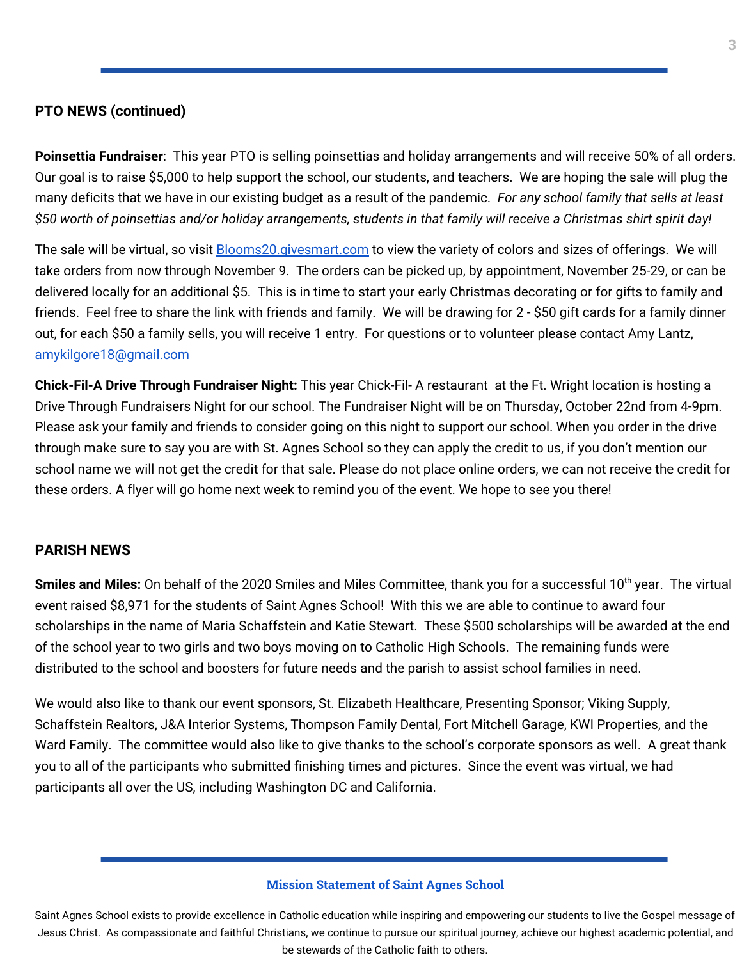#### **PTO NEWS (continued)**

**Poinsettia Fundraiser**: This year PTO is selling poinsettias and holiday arrangements and will receive 50% of all orders. Our goal is to raise \$5,000 to help support the school, our students, and teachers. We are hoping the sale will plug the many deficits that we have in our existing budget as a result of the pandemic. *For any school family that sells at least* \$50 worth of poinsettias and/or holiday arrangements, students in that family will receive a Christmas shirt spirit day!

The sale will be virtual, so visit **[Blooms20.givesmart.com](http://blooms20.givesmart.com/)** to view the variety of colors and sizes of offerings. We will take orders from now through November 9. The orders can be picked up, by appointment, November 25-29, or can be delivered locally for an additional \$5. This is in time to start your early Christmas decorating or for gifts to family and friends. Feel free to share the link with friends and family. We will be drawing for 2 - \$50 gift cards for a family dinner out, for each \$50 a family sells, you will receive 1 entry. For questions or to volunteer please contact Amy Lantz, amykilgore18@gmail.com

**Chick-Fil-A Drive Through Fundraiser Night:** This year Chick-Fil- A restaurant at the Ft. Wright location is hosting a Drive Through Fundraisers Night for our school. The Fundraiser Night will be on Thursday, October 22nd from 4-9pm. Please ask your family and friends to consider going on this night to support our school. When you order in the drive through make sure to say you are with St. Agnes School so they can apply the credit to us, if you don't mention our school name we will not get the credit for that sale. Please do not place online orders, we can not receive the credit for these orders. A flyer will go home next week to remind you of the event. We hope to see you there!

## **PARISH NEWS**

Smiles and Miles: On behalf of the 2020 Smiles and Miles Committee, thank you for a successful 10<sup>th</sup> year. The virtual event raised \$8,971 for the students of Saint Agnes School! With this we are able to continue to award four scholarships in the name of Maria Schaffstein and Katie Stewart. These \$500 scholarships will be awarded at the end of the school year to two girls and two boys moving on to Catholic High Schools. The remaining funds were distributed to the school and boosters for future needs and the parish to assist school families in need.

We would also like to thank our event sponsors, St. Elizabeth Healthcare, Presenting Sponsor; Viking Supply, Schaffstein Realtors, J&A Interior Systems, Thompson Family Dental, Fort Mitchell Garage, KWI Properties, and the Ward Family. The committee would also like to give thanks to the school's corporate sponsors as well. A great thank you to all of the participants who submitted finishing times and pictures. Since the event was virtual, we had participants all over the US, including Washington DC and California.

#### **Mission Statement of Saint Agnes School**

Saint Agnes School exists to provide excellence in Catholic education while inspiring and empowering our students to live the Gospel message of Jesus Christ. As compassionate and faithful Christians, we continue to pursue our spiritual journey, achieve our highest academic potential, and be stewards of the Catholic faith to others.